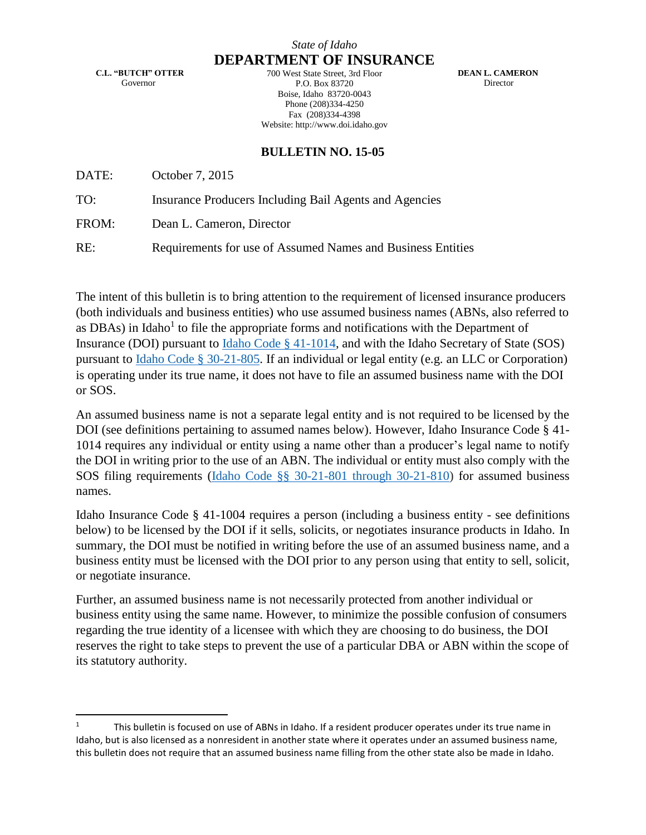### *State of Idaho*

**DEPARTMENT OF INSURANCE**

**C.L. "BUTCH" OTTER** Governor

700 West State Street, 3rd Floor P.O. Box 83720 Boise, Idaho 83720-0043 Phone (208)334-4250 Fax (208)334-4398 Website: http://www.doi.idaho.gov

**DEAN L. CAMERON** Director

## **BULLETIN NO. 15-05**

DATE: October 7, 2015

TO: Insurance Producers Including Bail Agents and Agencies

FROM: Dean L. Cameron, Director

RE: Requirements for use of Assumed Names and Business Entities

The intent of this bulletin is to bring attention to the requirement of licensed insurance producers (both individuals and business entities) who use assumed business names (ABNs, also referred to as DBAs) in Idaho<sup>1</sup> to file the appropriate forms and notifications with the Department of Insurance (DOI) pursuant to [Idaho Code § 41-1014,](http://www.legislature.idaho.gov/idstat/Title41/T41CH10SECT41-1014.htm) and with the Idaho Secretary of State (SOS) pursuant to [Idaho Code § 30-21-805.](http://www.legislature.idaho.gov/idstat/Title30/T30CH21SECT30-21-805.htm) If an individual or legal entity (e.g. an LLC or Corporation) is operating under its true name, it does not have to file an assumed business name with the DOI or SOS.

An assumed business name is not a separate legal entity and is not required to be licensed by the DOI (see definitions pertaining to assumed names below). However, Idaho Insurance Code § 41- 1014 requires any individual or entity using a name other than a producer's legal name to notify the DOI in writing prior to the use of an ABN. The individual or entity must also comply with the SOS filing requirements [\(Idaho Code §§ 30-21-801 through 30-21-810\)](https://legislature.idaho.gov/statutesrules/idstat/Title30/T30CH21PT8/) for assumed business names.

Idaho Insurance Code § 41-1004 requires a person (including a business entity - see definitions below) to be licensed by the DOI if it sells, solicits, or negotiates insurance products in Idaho. In summary, the DOI must be notified in writing before the use of an assumed business name, and a business entity must be licensed with the DOI prior to any person using that entity to sell, solicit, or negotiate insurance.

Further, an assumed business name is not necessarily protected from another individual or business entity using the same name. However, to minimize the possible confusion of consumers regarding the true identity of a licensee with which they are choosing to do business, the DOI reserves the right to take steps to prevent the use of a particular DBA or ABN within the scope of its statutory authority.

<sup>&</sup>lt;sup>1</sup> This bulletin is focused on use of ABNs in Idaho. If a resident producer operates under its true name in Idaho, but is also licensed as a nonresident in another state where it operates under an assumed business name, this bulletin does not require that an assumed business name filling from the other state also be made in Idaho.